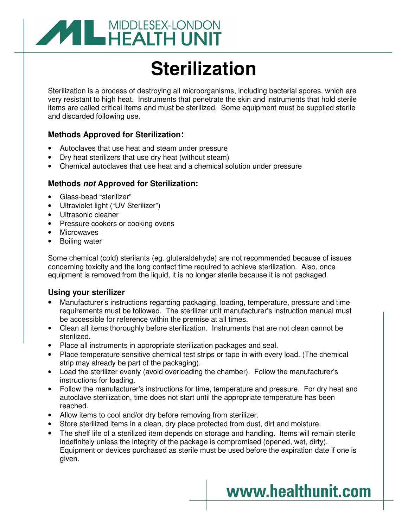

# **Sterilization**

Sterilization is a process of destroying all microorganisms, including bacterial spores, which are very resistant to high heat. Instruments that penetrate the skin and instruments that hold sterile items are called critical items and must be sterilized. Some equipment must be supplied sterile and discarded following use.

#### **Methods Approved for Sterilization:**

- Autoclaves that use heat and steam under pressure
- Dry heat sterilizers that use dry heat (without steam)
- Chemical autoclaves that use heat and a chemical solution under pressure

#### **Methods not Approved for Sterilization:**

- Glass-bead "sterilizer"
- Ultraviolet light ("UV Sterilizer")
- Ultrasonic cleaner
- Pressure cookers or cooking ovens
- **Microwaves**
- Boiling water

Some chemical (cold) sterilants (eg. gluteraldehyde) are not recommended because of issues concerning toxicity and the long contact time required to achieve sterilization. Also, once equipment is removed from the liquid, it is no longer sterile because it is not packaged.

#### **Using your sterilizer**

- Manufacturer's instructions regarding packaging, loading, temperature, pressure and time requirements must be followed. The sterilizer unit manufacturer's instruction manual must be accessible for reference within the premise at all times.
- Clean all items thoroughly before sterilization. Instruments that are not clean cannot be sterilized.
- Place all instruments in appropriate sterilization packages and seal.
- Place temperature sensitive chemical test strips or tape in with every load. (The chemical strip may already be part of the packaging).
- Load the sterilizer evenly (avoid overloading the chamber). Follow the manufacturer's instructions for loading.
- Follow the manufacturer's instructions for time, temperature and pressure. For dry heat and autoclave sterilization, time does not start until the appropriate temperature has been reached.
- Allow items to cool and/or dry before removing from sterilizer.
- Store sterilized items in a clean, dry place protected from dust, dirt and moisture.
- The shelf life of a sterilized item depends on storage and handling. Items will remain sterile indefinitely unless the integrity of the package is compromised (opened, wet, dirty). Equipment or devices purchased as sterile must be used before the expiration date if one is given.

## www.healthunit.com